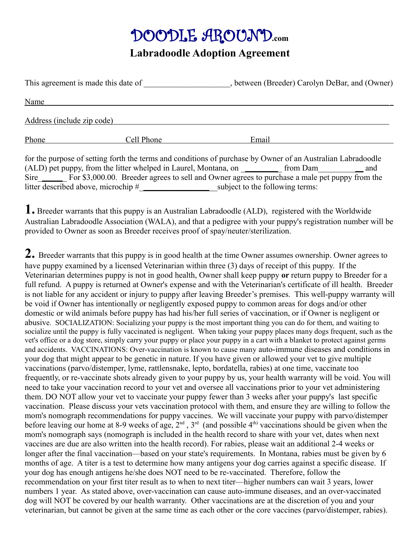# DOODLE AROUND**.com**

#### **Labradoodle Adoption Agreement**

| This agreement is made this date of |            | between (Breeder) Carolyn DeBar, and (Owner) |
|-------------------------------------|------------|----------------------------------------------|
| Name                                |            |                                              |
| Address (include zip code)          |            |                                              |
| Phone                               | Cell Phone | Email                                        |

for the purpose of setting forth the terms and conditions of purchase by Owner of an Australian Labradoodle  $(ALD)$  pet puppy, from the litter whelped in Laurel, Montana, on \_\_\_\_\_\_\_\_\_\_\_ from Dam \_\_\_\_\_\_\_\_ and Sire\_\_\_\_\_\_\_ For \$3,000.00. Breeder agrees to sell and Owner agrees to purchase a male pet puppy from the litter described above, microchip #\_\_\_\_\_\_\_\_\_\_\_\_\_\_\_\_\_\_\_subject to the following terms:

**1.** Breeder warrants that this puppy is an Australian Labradoodle (ALD), registered with the Worldwide Australian Labradoodle Association (WALA), and that a pedigree with your puppy's registration number will be provided to Owner as soon as Breeder receives proof of spay/neuter/sterilization.

**2.** Breeder warrants that this puppy is in good health at the time Owner assumes ownership. Owner agrees to have puppy examined by a licensed Veterinarian within three (3) days of receipt of this puppy. If the Veterinarian determines puppy is not in good health, Owner shall keep puppy **or** return puppy to Breeder for a full refund. A puppy is returned at Owner's expense and with the Veterinarian's certificate of ill health. Breeder is not liable for any accident or injury to puppy after leaving Breeder's premises. This well-puppy warranty will be void if Owner has intentionally or negligently exposed puppy to common areas for dogs and/or other domestic or wild animals before puppy has had his/her full series of vaccination, or if Owner is negligent or abusive. SOCIALIZATION: Socializing your puppy is the most important thing you can do for them, and waiting to socialize until the puppy is fully vaccinated is negligent. When taking your puppy places many dogs frequent, such as the vet's office or a dog store, simply carry your puppy or place your puppy in a cart with a blanket to protect against germs and accidents. VACCINATIONS: Over-vaccination is known to cause many auto-immune diseases and conditions in your dog that might appear to be genetic in nature. If you have given or allowed your vet to give multiple vaccinations (parvo/distemper, lyme, rattlensnake, lepto, bordatella, rabies) at one time, vaccinate too frequently, or re-vaccinate shots already given to your puppy by us, your health warranty will be void. You will need to take your vaccination record to your vet and oversee all vaccinations prior to your vet administering them. DO NOT allow your vet to vaccinate your puppy fewer than 3 weeks after your puppy's last specific vaccination. Please discuss your vets vaccination protocol with them, and ensure they are willing to follow the mom's nomograph recommendations for puppy vaccines. We will vaccinate your puppy with parvo/distemper before leaving our home at 8-9 weeks of age,  $2^{nd}$ ,  $3^{rd}$  (and possible 4<sup>th)</sup> vaccinations should be given when the mom's nomograph says (nomograph is included in the health record to share with your vet, dates when next vaccines are due are also written into the health record). For rabies, please wait an additional 2-4 weeks or longer after the final vaccination—based on your state's requirements. In Montana, rabies must be given by 6 months of age. A titer is a test to determine how many antigens your dog carries against a specific disease. If your dog has enough antigens he/she does NOT need to be re-vaccinated. Therefore, follow the recommendation on your first titer result as to when to next titer—higher numbers can wait 3 years, lower numbers 1 year. As stated above, over-vaccination can cause auto-immune diseases, and an over-vaccinated dog will NOT be covered by our health warranty. Other vaccinations are at the discretion of you and your veterinarian, but cannot be given at the same time as each other or the core vaccines (parvo/distemper, rabies).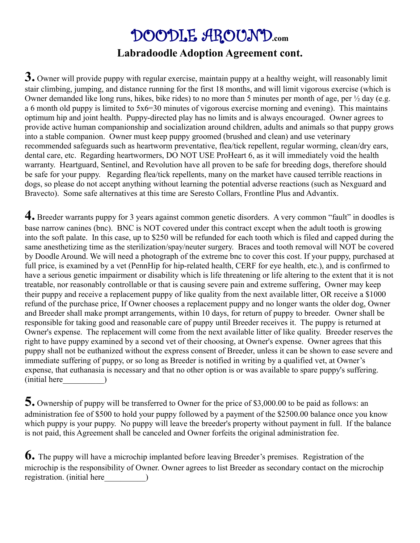#### DOODLE AROUND**.com Labradoodle Adoption Agreement cont.**

**3.** Owner will provide puppy with regular exercise, maintain puppy at a healthy weight, will reasonably limit stair climbing, jumping, and distance running for the first 18 months, and will limit vigorous exercise (which is Owner demanded like long runs, hikes, bike rides) to no more than 5 minutes per month of age, per ½ day (e.g. a 6 month old puppy is limited to 5x6=30 minutes of vigorous exercise morning and evening). This maintains optimum hip and joint health. Puppy-directed play has no limits and is always encouraged. Owner agrees to provide active human companionship and socialization around children, adults and animals so that puppy grows into a stable companion. Owner must keep puppy groomed (brushed and clean) and use veterinary recommended safeguards such as heartworm preventative, flea/tick repellent, regular worming, clean/dry ears, dental care, etc. Regarding heartwormers, DO NOT USE ProHeart 6, as it will immediately void the health warranty. Heartguard, Sentinel, and Revolution have all proven to be safe for breeding dogs, therefore should be safe for your puppy. Regarding flea/tick repellents, many on the market have caused terrible reactions in dogs, so please do not accept anything without learning the potential adverse reactions (such as Nexguard and Bravecto). Some safe alternatives at this time are Seresto Collars, Frontline Plus and Advantix.

**4.** Breeder warrants puppy for 3 years against common genetic disorders. A very common "fault" in doodles is base narrow canines (bnc). BNC is NOT covered under this contract except when the adult tooth is growing into the soft palate. In this case, up to \$250 will be refunded for each tooth which is filed and capped during the same anesthetizing time as the sterilization/spay/neuter surgery. Braces and tooth removal will NOT be covered by Doodle Around. We will need a photograph of the extreme bnc to cover this cost. If your puppy, purchased at full price, is examined by a vet (PennHip for hip-related health, CERF for eye health, etc.), and is confirmed to have a serious genetic impairment or disability which is life threatening or life altering to the extent that it is not treatable, nor reasonably controllable or that is causing severe pain and extreme suffering, Owner may keep their puppy and receive a replacement puppy of like quality from the next available litter, OR receive a \$1000 refund of the purchase price, If Owner chooses a replacement puppy and no longer wants the older dog, Owner and Breeder shall make prompt arrangements, within 10 days, for return of puppy to breeder. Owner shall be responsible for taking good and reasonable care of puppy until Breeder receives it. The puppy is returned at Owner's expense. The replacement will come from the next available litter of like quality. Breeder reserves the right to have puppy examined by a second vet of their choosing, at Owner's expense. Owner agrees that this puppy shall not be euthanized without the express consent of Breeder, unless it can be shown to ease severe and immediate suffering of puppy, or so long as Breeder is notified in writing by a qualified vet, at Owner's expense, that euthanasia is necessary and that no other option is or was available to spare puppy's suffering. (initial here\_\_\_\_\_\_\_\_\_\_)

**5.** Ownership of puppy will be transferred to Owner for the price of \$3,000.00 to be paid as follows: an administration fee of \$500 to hold your puppy followed by a payment of the \$2500.00 balance once you know which puppy is your puppy. No puppy will leave the breeder's property without payment in full. If the balance is not paid, this Agreement shall be canceled and Owner forfeits the original administration fee.

**6.** The puppy will have a microchip implanted before leaving Breeder's premises. Registration of the microchip is the responsibility of Owner. Owner agrees to list Breeder as secondary contact on the microchip registration. (initial here  $\qquad$ )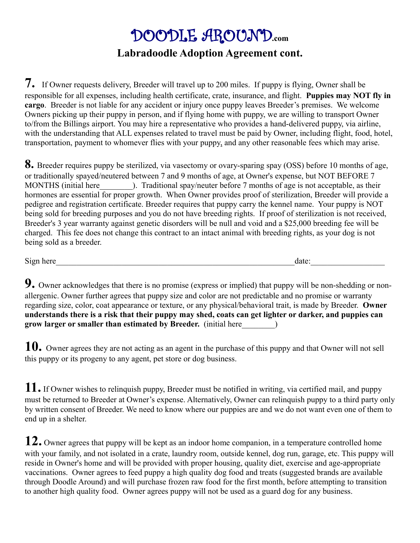### DOODLE AROUND**.com Labradoodle Adoption Agreement cont.**

**7.** If Owner requests delivery, Breeder will travel up to 200 miles. If puppy is flying, Owner shall be responsible for all expenses, including health certificate, crate, insurance, and flight. **Puppies may NOT fly in cargo**. Breeder is not liable for any accident or injury once puppy leaves Breeder's premises. We welcome Owners picking up their puppy in person, and if flying home with puppy, we are willing to transport Owner to/from the Billings airport. You may hire a representative who provides a hand-delivered puppy, via airline, with the understanding that ALL expenses related to travel must be paid by Owner, including flight, food, hotel, transportation, payment to whomever flies with your puppy, and any other reasonable fees which may arise.

**8.** Breeder requires puppy be sterilized, via vasectomy or ovary-sparing spay (OSS) before 10 months of age, or traditionally spayed/neutered between 7 and 9 months of age, at Owner's expense, but NOT BEFORE 7 MONTHS (initial here  $\qquad$ ). Traditional spay/neuter before 7 months of age is not acceptable, as their hormones are essential for proper growth. When Owner provides proof of sterilization, Breeder will provide a pedigree and registration certificate. Breeder requires that puppy carry the kennel name. Your puppy is NOT being sold for breeding purposes and you do not have breeding rights. If proof of sterilization is not received, Breeder's 3 year warranty against genetic disorders will be null and void and a \$25,000 breeding fee will be charged. This fee does not change this contract to an intact animal with breeding rights, as your dog is not being sold as a breeder.

Sign here\_\_\_\_\_\_\_\_\_\_\_\_\_\_\_\_\_\_\_\_\_\_\_\_\_\_\_\_\_\_\_\_\_\_\_\_\_\_\_\_\_\_\_\_\_\_\_\_\_\_\_\_\_\_\_\_\_\_date:\_\_\_\_\_\_\_\_\_\_\_\_\_\_\_\_\_\_

**9.** Owner acknowledges that there is no promise (express or implied) that puppy will be non-shedding or nonallergenic. Owner further agrees that puppy size and color are not predictable and no promise or warranty regarding size, color, coat appearance or texture, or any physical/behavioral trait, is made by Breeder. **Owner understands there is a risk that their puppy may shed, coats can get lighter or darker, and puppies can grow larger or smaller than estimated by Breeder.** (initial here  $\qquad$  )

**10.** Owner agrees they are not acting as an agent in the purchase of this puppy and that Owner will not sell this puppy or its progeny to any agent, pet store or dog business.

**11.** If Owner wishes to relinquish puppy, Breeder must be notified in writing, via certified mail, and puppy must be returned to Breeder at Owner's expense. Alternatively, Owner can relinquish puppy to a third party only by written consent of Breeder. We need to know where our puppies are and we do not want even one of them to end up in a shelter.

**12.** Owner agrees that puppy will be kept as an indoor home companion, in a temperature controlled home with your family, and not isolated in a crate, laundry room, outside kennel, dog run, garage, etc. This puppy will reside in Owner's home and will be provided with proper housing, quality diet, exercise and age-appropriate vaccinations. Owner agrees to feed puppy a high quality dog food and treats (suggested brands are available through Doodle Around) and will purchase frozen raw food for the first month, before attempting to transition to another high quality food. Owner agrees puppy will not be used as a guard dog for any business.